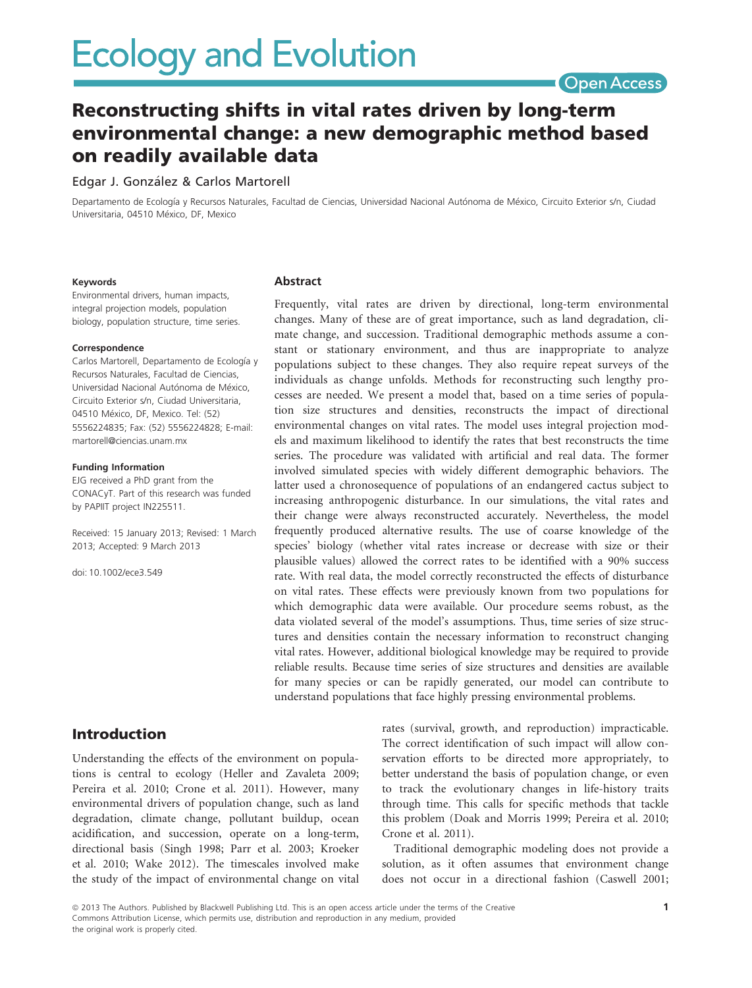# Reconstructing shifts in vital rates driven by long-term environmental change: a new demographic method based on readily available data

### Edgar J. González & Carlos Martorell

Departamento de Ecología y Recursos Naturales, Facultad de Ciencias, Universidad Nacional Autónoma de México, Circuito Exterior s/n, Ciudad Universitaria, 04510 México, DF, Mexico

#### Keywords

Environmental drivers, human impacts, integral projection models, population biology, population structure, time series.

#### Correspondence

Carlos Martorell, Departamento de Ecología y Recursos Naturales, Facultad de Ciencias, Universidad Nacional Autónoma de México, Circuito Exterior s/n, Ciudad Universitaria, 04510 México, DF, Mexico. Tel: (52) 5556224835; Fax: (52) 5556224828; E-mail: martorell@ciencias.unam.mx

#### Funding Information

EJG received a PhD grant from the CONACyT. Part of this research was funded by PAPIIT project IN225511.

Received: 15 January 2013; Revised: 1 March 2013; Accepted: 9 March 2013

doi: 10.1002/ece3.549

#### Abstract

Frequently, vital rates are driven by directional, long-term environmental changes. Many of these are of great importance, such as land degradation, climate change, and succession. Traditional demographic methods assume a constant or stationary environment, and thus are inappropriate to analyze populations subject to these changes. They also require repeat surveys of the individuals as change unfolds. Methods for reconstructing such lengthy processes are needed. We present a model that, based on a time series of population size structures and densities, reconstructs the impact of directional environmental changes on vital rates. The model uses integral projection models and maximum likelihood to identify the rates that best reconstructs the time series. The procedure was validated with artificial and real data. The former involved simulated species with widely different demographic behaviors. The latter used a chronosequence of populations of an endangered cactus subject to increasing anthropogenic disturbance. In our simulations, the vital rates and their change were always reconstructed accurately. Nevertheless, the model frequently produced alternative results. The use of coarse knowledge of the species' biology (whether vital rates increase or decrease with size or their plausible values) allowed the correct rates to be identified with a 90% success rate. With real data, the model correctly reconstructed the effects of disturbance on vital rates. These effects were previously known from two populations for which demographic data were available. Our procedure seems robust, as the data violated several of the model's assumptions. Thus, time series of size structures and densities contain the necessary information to reconstruct changing vital rates. However, additional biological knowledge may be required to provide reliable results. Because time series of size structures and densities are available for many species or can be rapidly generated, our model can contribute to understand populations that face highly pressing environmental problems.

Introduction

Understanding the effects of the environment on populations is central to ecology (Heller and Zavaleta 2009; Pereira et al. 2010; Crone et al. 2011). However, many environmental drivers of population change, such as land degradation, climate change, pollutant buildup, ocean acidification, and succession, operate on a long-term, directional basis (Singh 1998; Parr et al. 2003; Kroeker et al. 2010; Wake 2012). The timescales involved make the study of the impact of environmental change on vital rates (survival, growth, and reproduction) impracticable. The correct identification of such impact will allow conservation efforts to be directed more appropriately, to better understand the basis of population change, or even to track the evolutionary changes in life-history traits through time. This calls for specific methods that tackle this problem (Doak and Morris 1999; Pereira et al. 2010; Crone et al. 2011).

Traditional demographic modeling does not provide a solution, as it often assumes that environment change does not occur in a directional fashion (Caswell 2001;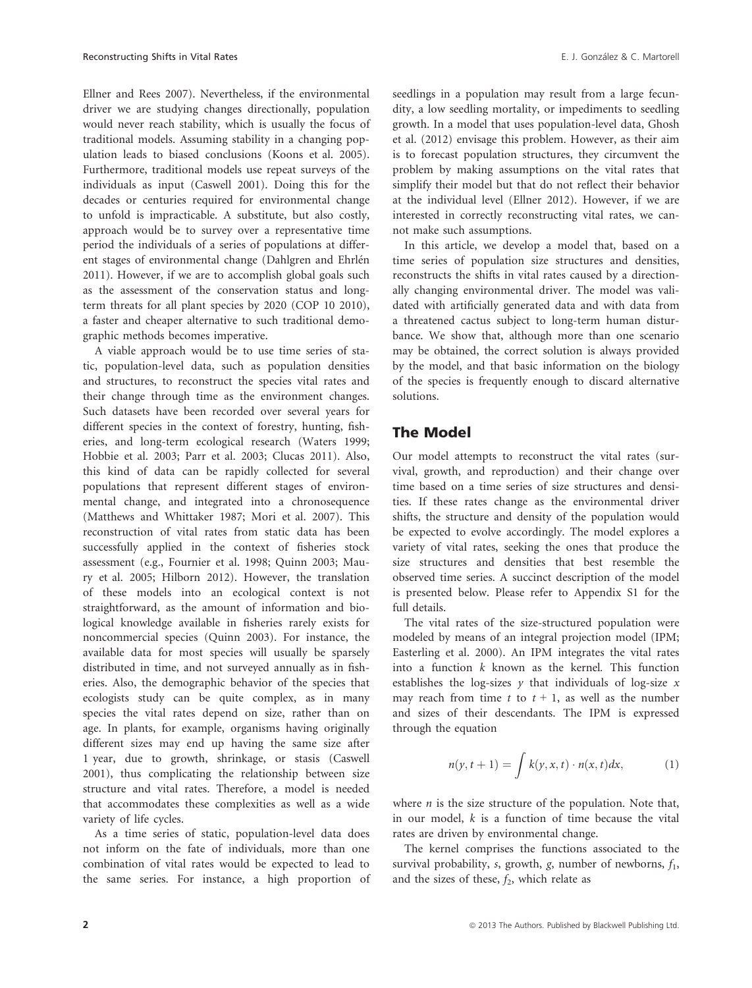Ellner and Rees 2007). Nevertheless, if the environmental driver we are studying changes directionally, population would never reach stability, which is usually the focus of traditional models. Assuming stability in a changing population leads to biased conclusions (Koons et al. 2005). Furthermore, traditional models use repeat surveys of the individuals as input (Caswell 2001). Doing this for the decades or centuries required for environmental change to unfold is impracticable. A substitute, but also costly, approach would be to survey over a representative time period the individuals of a series of populations at different stages of environmental change (Dahlgren and Ehrlén 2011). However, if we are to accomplish global goals such as the assessment of the conservation status and longterm threats for all plant species by 2020 (COP 10 2010), a faster and cheaper alternative to such traditional demographic methods becomes imperative.

A viable approach would be to use time series of static, population-level data, such as population densities and structures, to reconstruct the species vital rates and their change through time as the environment changes. Such datasets have been recorded over several years for different species in the context of forestry, hunting, fisheries, and long-term ecological research (Waters 1999; Hobbie et al. 2003; Parr et al. 2003; Clucas 2011). Also, this kind of data can be rapidly collected for several populations that represent different stages of environmental change, and integrated into a chronosequence (Matthews and Whittaker 1987; Mori et al. 2007). This reconstruction of vital rates from static data has been successfully applied in the context of fisheries stock assessment (e.g., Fournier et al. 1998; Quinn 2003; Maury et al. 2005; Hilborn 2012). However, the translation of these models into an ecological context is not straightforward, as the amount of information and biological knowledge available in fisheries rarely exists for noncommercial species (Quinn 2003). For instance, the available data for most species will usually be sparsely distributed in time, and not surveyed annually as in fisheries. Also, the demographic behavior of the species that ecologists study can be quite complex, as in many species the vital rates depend on size, rather than on age. In plants, for example, organisms having originally different sizes may end up having the same size after 1 year, due to growth, shrinkage, or stasis (Caswell 2001), thus complicating the relationship between size structure and vital rates. Therefore, a model is needed that accommodates these complexities as well as a wide variety of life cycles.

As a time series of static, population-level data does not inform on the fate of individuals, more than one combination of vital rates would be expected to lead to the same series. For instance, a high proportion of seedlings in a population may result from a large fecundity, a low seedling mortality, or impediments to seedling growth. In a model that uses population-level data, Ghosh et al. (2012) envisage this problem. However, as their aim is to forecast population structures, they circumvent the problem by making assumptions on the vital rates that simplify their model but that do not reflect their behavior at the individual level (Ellner 2012). However, if we are interested in correctly reconstructing vital rates, we cannot make such assumptions.

In this article, we develop a model that, based on a time series of population size structures and densities, reconstructs the shifts in vital rates caused by a directionally changing environmental driver. The model was validated with artificially generated data and with data from a threatened cactus subject to long-term human disturbance. We show that, although more than one scenario may be obtained, the correct solution is always provided by the model, and that basic information on the biology of the species is frequently enough to discard alternative solutions.

## The Model

Our model attempts to reconstruct the vital rates (survival, growth, and reproduction) and their change over time based on a time series of size structures and densities. If these rates change as the environmental driver shifts, the structure and density of the population would be expected to evolve accordingly. The model explores a variety of vital rates, seeking the ones that produce the size structures and densities that best resemble the observed time series. A succinct description of the model is presented below. Please refer to Appendix S1 for the full details.

The vital rates of the size-structured population were modeled by means of an integral projection model (IPM; Easterling et al. 2000). An IPM integrates the vital rates into a function  $k$  known as the kernel. This function establishes the log-sizes  $y$  that individuals of log-size  $x$ may reach from time  $t$  to  $t + 1$ , as well as the number and sizes of their descendants. The IPM is expressed through the equation

$$
n(y, t+1) = \int k(y, x, t) \cdot n(x, t) dx,
$$
 (1)

where  $n$  is the size structure of the population. Note that, in our model, k is a function of time because the vital rates are driven by environmental change.

The kernel comprises the functions associated to the survival probability, s, growth, g, number of newborns,  $f_1$ , and the sizes of these,  $f_2$ , which relate as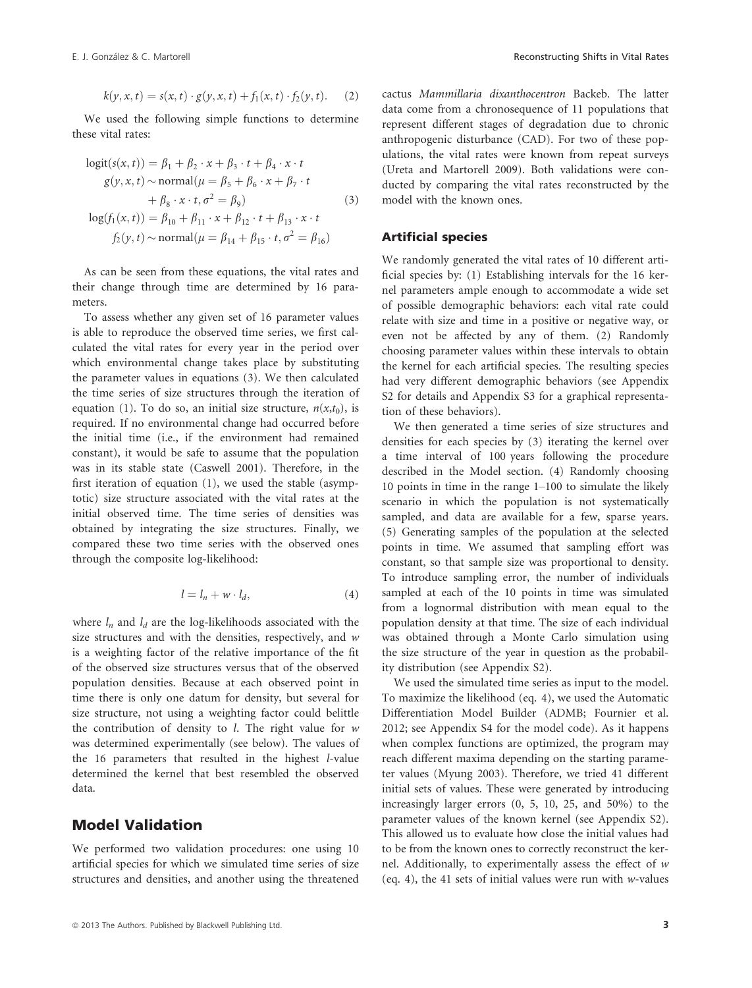$$
k(y, x, t) = s(x, t) \cdot g(y, x, t) + f_1(x, t) \cdot f_2(y, t). \tag{2}
$$

We used the following simple functions to determine these vital rates:

$$
logit(s(x, t)) = \beta_1 + \beta_2 \cdot x + \beta_3 \cdot t + \beta_4 \cdot x \cdot t
$$
  
\n
$$
g(y, x, t) \sim \text{normal}(\mu = \beta_5 + \beta_6 \cdot x + \beta_7 \cdot t + \beta_8 \cdot x \cdot t, \sigma^2 = \beta_9)
$$
  
\n
$$
log(f_1(x, t)) = \beta_{10} + \beta_{11} \cdot x + \beta_{12} \cdot t + \beta_{13} \cdot x \cdot t + \beta_{16}(y, t) \sim \text{normal}(\mu = \beta_{14} + \beta_{15} \cdot t, \sigma^2 = \beta_{16})
$$
 (3)

As can be seen from these equations, the vital rates and their change through time are determined by 16 parameters.

To assess whether any given set of 16 parameter values is able to reproduce the observed time series, we first calculated the vital rates for every year in the period over which environmental change takes place by substituting the parameter values in equations (3). We then calculated the time series of size structures through the iteration of equation (1). To do so, an initial size structure,  $n(x,t_0)$ , is required. If no environmental change had occurred before the initial time (i.e., if the environment had remained constant), it would be safe to assume that the population was in its stable state (Caswell 2001). Therefore, in the first iteration of equation (1), we used the stable (asymptotic) size structure associated with the vital rates at the initial observed time. The time series of densities was obtained by integrating the size structures. Finally, we compared these two time series with the observed ones through the composite log-likelihood:

$$
l = l_n + w \cdot l_d, \tag{4}
$$

where  $l_n$  and  $l_d$  are the log-likelihoods associated with the size structures and with the densities, respectively, and  $w$ is a weighting factor of the relative importance of the fit of the observed size structures versus that of the observed population densities. Because at each observed point in time there is only one datum for density, but several for size structure, not using a weighting factor could belittle the contribution of density to  $l$ . The right value for  $w$ was determined experimentally (see below). The values of the 16 parameters that resulted in the highest l-value determined the kernel that best resembled the observed data.

## Model Validation

We performed two validation procedures: one using 10 artificial species for which we simulated time series of size structures and densities, and another using the threatened cactus Mammillaria dixanthocentron Backeb. The latter data come from a chronosequence of 11 populations that represent different stages of degradation due to chronic anthropogenic disturbance (CAD). For two of these populations, the vital rates were known from repeat surveys (Ureta and Martorell 2009). Both validations were conducted by comparing the vital rates reconstructed by the model with the known ones.

#### Artificial species

We randomly generated the vital rates of 10 different artificial species by: (1) Establishing intervals for the 16 kernel parameters ample enough to accommodate a wide set of possible demographic behaviors: each vital rate could relate with size and time in a positive or negative way, or even not be affected by any of them. (2) Randomly choosing parameter values within these intervals to obtain the kernel for each artificial species. The resulting species had very different demographic behaviors (see Appendix S2 for details and Appendix S3 for a graphical representation of these behaviors).

We then generated a time series of size structures and densities for each species by (3) iterating the kernel over a time interval of 100 years following the procedure described in the Model section. (4) Randomly choosing 10 points in time in the range 1–100 to simulate the likely scenario in which the population is not systematically sampled, and data are available for a few, sparse years. (5) Generating samples of the population at the selected points in time. We assumed that sampling effort was constant, so that sample size was proportional to density. To introduce sampling error, the number of individuals sampled at each of the 10 points in time was simulated from a lognormal distribution with mean equal to the population density at that time. The size of each individual was obtained through a Monte Carlo simulation using the size structure of the year in question as the probability distribution (see Appendix S2).

We used the simulated time series as input to the model. To maximize the likelihood (eq. 4), we used the Automatic Differentiation Model Builder (ADMB; Fournier et al. 2012; see Appendix S4 for the model code). As it happens when complex functions are optimized, the program may reach different maxima depending on the starting parameter values (Myung 2003). Therefore, we tried 41 different initial sets of values. These were generated by introducing increasingly larger errors (0, 5, 10, 25, and 50%) to the parameter values of the known kernel (see Appendix S2). This allowed us to evaluate how close the initial values had to be from the known ones to correctly reconstruct the kernel. Additionally, to experimentally assess the effect of  $w$ (eq. 4), the 41 sets of initial values were run with w-values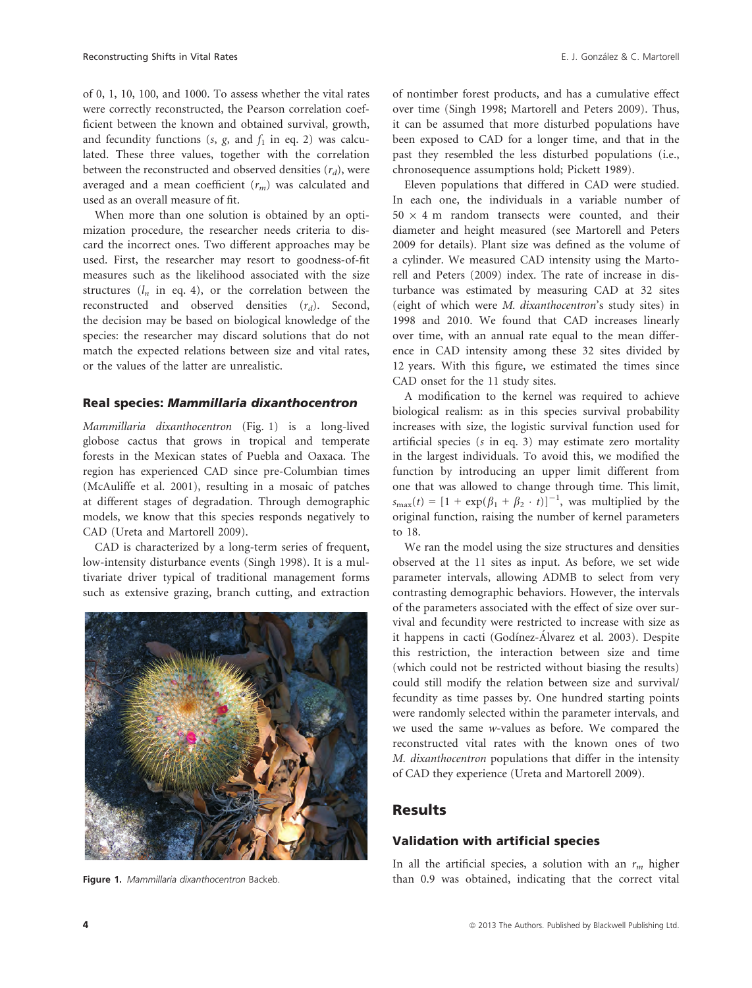of 0, 1, 10, 100, and 1000. To assess whether the vital rates were correctly reconstructed, the Pearson correlation coefficient between the known and obtained survival, growth, and fecundity functions  $(s, g, \text{ and } f_1 \text{ in } eq. 2)$  was calculated. These three values, together with the correlation between the reconstructed and observed densities  $(r_d)$ , were averaged and a mean coefficient  $(r_m)$  was calculated and used as an overall measure of fit.

When more than one solution is obtained by an optimization procedure, the researcher needs criteria to discard the incorrect ones. Two different approaches may be used. First, the researcher may resort to goodness-of-fit measures such as the likelihood associated with the size structures  $(l_n$  in eq. 4), or the correlation between the reconstructed and observed densities  $(r_d)$ . Second, the decision may be based on biological knowledge of the species: the researcher may discard solutions that do not match the expected relations between size and vital rates, or the values of the latter are unrealistic.

#### Real species: Mammillaria dixanthocentron

Mammillaria dixanthocentron (Fig. 1) is a long-lived globose cactus that grows in tropical and temperate forests in the Mexican states of Puebla and Oaxaca. The region has experienced CAD since pre-Columbian times (McAuliffe et al. 2001), resulting in a mosaic of patches at different stages of degradation. Through demographic models, we know that this species responds negatively to CAD (Ureta and Martorell 2009).

CAD is characterized by a long-term series of frequent, low-intensity disturbance events (Singh 1998). It is a multivariate driver typical of traditional management forms such as extensive grazing, branch cutting, and extraction



of nontimber forest products, and has a cumulative effect over time (Singh 1998; Martorell and Peters 2009). Thus, it can be assumed that more disturbed populations have been exposed to CAD for a longer time, and that in the past they resembled the less disturbed populations (i.e., chronosequence assumptions hold; Pickett 1989).

Eleven populations that differed in CAD were studied. In each one, the individuals in a variable number of  $50 \times 4$  m random transects were counted, and their diameter and height measured (see Martorell and Peters 2009 for details). Plant size was defined as the volume of a cylinder. We measured CAD intensity using the Martorell and Peters (2009) index. The rate of increase in disturbance was estimated by measuring CAD at 32 sites (eight of which were M. dixanthocentron's study sites) in 1998 and 2010. We found that CAD increases linearly over time, with an annual rate equal to the mean difference in CAD intensity among these 32 sites divided by 12 years. With this figure, we estimated the times since CAD onset for the 11 study sites.

A modification to the kernel was required to achieve biological realism: as in this species survival probability increases with size, the logistic survival function used for artificial species  $(s \text{ in eq. 3})$  may estimate zero mortality in the largest individuals. To avoid this, we modified the function by introducing an upper limit different from one that was allowed to change through time. This limit,  $s_{\text{max}}(t) = [1 + \exp(\beta_1 + \beta_2 \cdot t)]^{-1}$ , was multiplied by the original function, raising the number of kernel parameters to 18.

We ran the model using the size structures and densities observed at the 11 sites as input. As before, we set wide parameter intervals, allowing ADMB to select from very contrasting demographic behaviors. However, the intervals of the parameters associated with the effect of size over survival and fecundity were restricted to increase with size as it happens in cacti (Godínez-Alvarez et al. 2003). Despite this restriction, the interaction between size and time (which could not be restricted without biasing the results) could still modify the relation between size and survival/ fecundity as time passes by. One hundred starting points were randomly selected within the parameter intervals, and we used the same w-values as before. We compared the reconstructed vital rates with the known ones of two M. dixanthocentron populations that differ in the intensity of CAD they experience (Ureta and Martorell 2009).

### Results

### Validation with artificial species

In all the artificial species, a solution with an  $r_m$  higher Figure 1. Mammillaria dixanthocentron Backeb. than 0.9 was obtained, indicating that the correct vital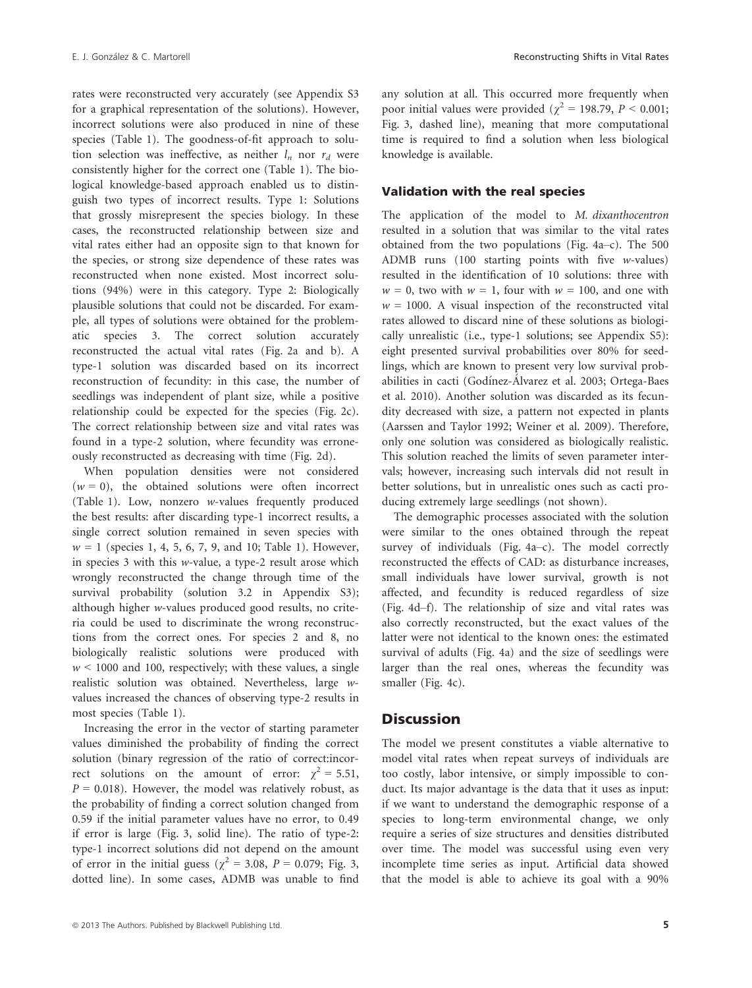rates were reconstructed very accurately (see Appendix S3 for a graphical representation of the solutions). However, incorrect solutions were also produced in nine of these species (Table 1). The goodness-of-fit approach to solution selection was ineffective, as neither  $l_n$  nor  $r_d$  were consistently higher for the correct one (Table 1). The biological knowledge-based approach enabled us to distinguish two types of incorrect results. Type 1: Solutions that grossly misrepresent the species biology. In these cases, the reconstructed relationship between size and vital rates either had an opposite sign to that known for the species, or strong size dependence of these rates was reconstructed when none existed. Most incorrect solutions (94%) were in this category. Type 2: Biologically plausible solutions that could not be discarded. For example, all types of solutions were obtained for the problematic species 3. The correct solution accurately reconstructed the actual vital rates (Fig. 2a and b). A type-1 solution was discarded based on its incorrect reconstruction of fecundity: in this case, the number of seedlings was independent of plant size, while a positive relationship could be expected for the species (Fig. 2c). The correct relationship between size and vital rates was found in a type-2 solution, where fecundity was erroneously reconstructed as decreasing with time (Fig. 2d).

When population densities were not considered  $(w = 0)$ , the obtained solutions were often incorrect (Table 1). Low, nonzero w-values frequently produced the best results: after discarding type-1 incorrect results, a single correct solution remained in seven species with  $w = 1$  (species 1, 4, 5, 6, 7, 9, and 10; Table 1). However, in species 3 with this w-value, a type-2 result arose which wrongly reconstructed the change through time of the survival probability (solution 3.2 in Appendix S3); although higher w-values produced good results, no criteria could be used to discriminate the wrong reconstructions from the correct ones. For species 2 and 8, no biologically realistic solutions were produced with  $w \le 1000$  and 100, respectively; with these values, a single realistic solution was obtained. Nevertheless, large wvalues increased the chances of observing type-2 results in most species (Table 1).

Increasing the error in the vector of starting parameter values diminished the probability of finding the correct solution (binary regression of the ratio of correct:incorrect solutions on the amount of error:  $\chi^2 = 5.51$ ,  $P = 0.018$ ). However, the model was relatively robust, as the probability of finding a correct solution changed from 0.59 if the initial parameter values have no error, to 0.49 if error is large (Fig. 3, solid line). The ratio of type-2: type-1 incorrect solutions did not depend on the amount of error in the initial guess ( $\chi^2$  = 3.08, P = 0.079; Fig. 3, dotted line). In some cases, ADMB was unable to find any solution at all. This occurred more frequently when poor initial values were provided ( $\gamma^2$  = 198.79, P < 0.001; Fig. 3, dashed line), meaning that more computational time is required to find a solution when less biological knowledge is available.

#### Validation with the real species

The application of the model to M. dixanthocentron resulted in a solution that was similar to the vital rates obtained from the two populations (Fig. 4a–c). The 500 ADMB runs (100 starting points with five w-values) resulted in the identification of 10 solutions: three with  $w = 0$ , two with  $w = 1$ , four with  $w = 100$ , and one with  $w = 1000$ . A visual inspection of the reconstructed vital rates allowed to discard nine of these solutions as biologically unrealistic (i.e., type-1 solutions; see Appendix S5): eight presented survival probabilities over 80% for seedlings, which are known to present very low survival probabilities in cacti (Godínez-Álvarez et al. 2003; Ortega-Baes et al. 2010). Another solution was discarded as its fecundity decreased with size, a pattern not expected in plants (Aarssen and Taylor 1992; Weiner et al. 2009). Therefore, only one solution was considered as biologically realistic. This solution reached the limits of seven parameter intervals; however, increasing such intervals did not result in better solutions, but in unrealistic ones such as cacti producing extremely large seedlings (not shown).

The demographic processes associated with the solution were similar to the ones obtained through the repeat survey of individuals (Fig. 4a–c). The model correctly reconstructed the effects of CAD: as disturbance increases, small individuals have lower survival, growth is not affected, and fecundity is reduced regardless of size (Fig. 4d–f). The relationship of size and vital rates was also correctly reconstructed, but the exact values of the latter were not identical to the known ones: the estimated survival of adults (Fig. 4a) and the size of seedlings were larger than the real ones, whereas the fecundity was smaller (Fig. 4c).

### **Discussion**

The model we present constitutes a viable alternative to model vital rates when repeat surveys of individuals are too costly, labor intensive, or simply impossible to conduct. Its major advantage is the data that it uses as input: if we want to understand the demographic response of a species to long-term environmental change, we only require a series of size structures and densities distributed over time. The model was successful using even very incomplete time series as input. Artificial data showed that the model is able to achieve its goal with a 90%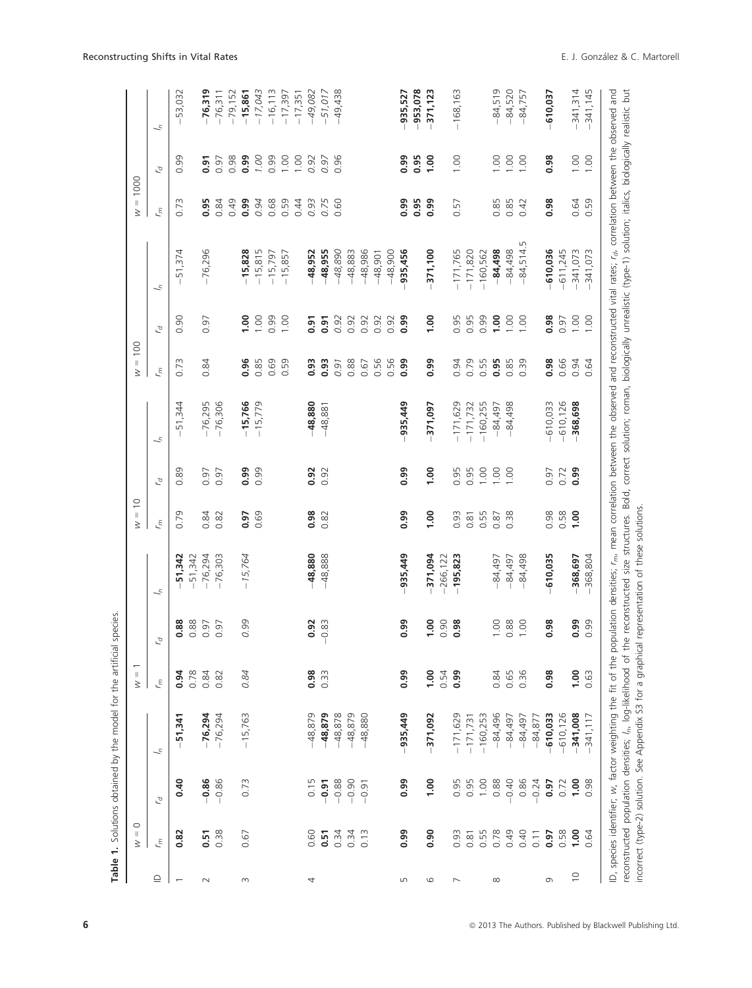|                          | $\circ$<br>$\parallel$<br>ξ |         |                                                                                                 | $\parallel$<br>ξ    |              |                          | $\overline{C}$<br>$\parallel$<br>$\geq$ |       |            | $= 100$<br>$\geq$ |      |                                                                                                                                                                                                                          | $= 1000$<br>$\geq$             |      |             |
|--------------------------|-----------------------------|---------|-------------------------------------------------------------------------------------------------|---------------------|--------------|--------------------------|-----------------------------------------|-------|------------|-------------------|------|--------------------------------------------------------------------------------------------------------------------------------------------------------------------------------------------------------------------------|--------------------------------|------|-------------|
| $\supseteq$              | $\epsilon$                  | ζ,      | $\tilde{\mathcal{L}}$                                                                           | $f_{\widetilde{E}}$ | Γd           | $\overline{\phantom{a}}$ | r <sub>m</sub>                          | ح     | ے          | r <sub>m</sub>    | PJ.  | ے                                                                                                                                                                                                                        | $r_{\scriptscriptstyle\gamma}$ | ζ,   | Ļ           |
| $\overline{\phantom{0}}$ | 0.82                        | 0.40    | 51,341                                                                                          | 0.78<br>0.94        | 0.88<br>0.88 | 51,342<br>51,342         | 0.79                                    | 0.89  | $-51,344$  | 0.73              | 0.90 | $-51,374$                                                                                                                                                                                                                | 0.73                           | 0.99 | -53,032     |
| $\sim$                   | 0.51                        | $-0.86$ | $-76,294$                                                                                       | 0.84                | 0.97         | $-76,294$                | 0.84                                    | 0.97  | $-76,295$  | 0.84              | 0.97 | $-76,296$                                                                                                                                                                                                                | 0.95                           | 0.91 | $-76,319$   |
|                          | 0.38                        | $-0.86$ | $-76,294$                                                                                       | 0.82                | 0.97         | $-76,303$                | 0.82                                    | 0.97  | $-76,306$  |                   |      |                                                                                                                                                                                                                          | 0.84                           | 0.97 | $-76,311$   |
|                          |                             |         |                                                                                                 |                     |              |                          |                                         |       |            |                   |      |                                                                                                                                                                                                                          | 0.49                           | 0.98 | $-79,152$   |
| $\sim$                   | 67<br>ö                     | 0.73    | $-15,763$                                                                                       | 84<br>O.            | 0.99         | $-15,764$                | 0.97                                    | 0.99  | $-15,766$  | 0.96              | 1.00 | $-15,828$                                                                                                                                                                                                                | 0.99                           | 0.99 | $-15,861$   |
|                          |                             |         |                                                                                                 |                     |              |                          | 0.69                                    | 0.99  | $-15,779$  | 0.85              | 1.00 | $-15,815$                                                                                                                                                                                                                | 0.94                           | 1.00 | $-17,043$   |
|                          |                             |         |                                                                                                 |                     |              |                          |                                         |       |            | 0.69              | 0.99 | $-15,797$                                                                                                                                                                                                                | 0.68                           | 0.99 | $-16, 113$  |
|                          |                             |         |                                                                                                 |                     |              |                          |                                         |       |            | 0.59              | 1.00 | $-15,857$                                                                                                                                                                                                                | 0.59                           | 1.00 | $-17,397$   |
|                          |                             |         |                                                                                                 |                     |              |                          |                                         |       |            |                   |      |                                                                                                                                                                                                                          | 0.44                           | 1.00 | $-17,351$   |
| 4                        | 0.60                        | 0.15    | $-48,879$                                                                                       | 0.98                | 0.92         | $-48,880$                | 0.98                                    | 0.92  | $-48,880$  | 0.93              | 0.91 | $-48,952$                                                                                                                                                                                                                | 0.93                           | 0.92 | $-49,082$   |
|                          | 0.51                        | $-0.91$ | $-48,879$                                                                                       | 0.33                | 0.83         | $-48,888$                | 0.82                                    | 0.92  | $-48,881$  | 0.93              | 0.91 | $-48,955$                                                                                                                                                                                                                | 0.75                           | 0.97 | $-51,017$   |
|                          | 0.34                        | $-0.88$ | $-48,878$                                                                                       |                     |              |                          |                                         |       |            | 0.91              | 0.92 | $-48,890$                                                                                                                                                                                                                | 0.60                           | 0.96 | $-49,438$   |
|                          | 0.34                        | $-0.90$ | $-48,879$                                                                                       |                     |              |                          |                                         |       |            | 0.88              | 0.92 | $-48,883$                                                                                                                                                                                                                |                                |      |             |
|                          | 0.13                        | $-0.91$ | $-48,880$                                                                                       |                     |              |                          |                                         |       |            | 0.67              | 0.92 | $-48,986$                                                                                                                                                                                                                |                                |      |             |
|                          |                             |         |                                                                                                 |                     |              |                          |                                         |       |            | 0.56              | 0.92 | $-48,901$                                                                                                                                                                                                                |                                |      |             |
|                          |                             |         |                                                                                                 |                     |              |                          |                                         |       |            | 0.56              | 0.92 | $-48,900$                                                                                                                                                                                                                |                                |      |             |
| $\sqrt{ }$               | 0.99                        | 0.99    | 935,449                                                                                         | 0.99                | 0.99         | 935,449                  | 0.99                                    | 0.99  | 935,449    | 0.99              | 0.99 | $-935,456$                                                                                                                                                                                                               | 0.99                           | 0.99 | $-935,527$  |
|                          |                             |         |                                                                                                 |                     |              |                          |                                         |       |            |                   |      |                                                                                                                                                                                                                          | 0.95                           | 0.95 | $-953,078$  |
| $\circ$                  | 0.90                        | 00.1    | 371,092                                                                                         | 1.00                | 1.00         | 371,094                  | 00.1                                    | 0.001 | $-371,097$ | 0.99              | 0.00 | $-371,100$                                                                                                                                                                                                               | 0.99                           | 1.00 | 371,123     |
|                          |                             |         |                                                                                                 | 0.54                | 0.90         | $-266, 122$              |                                         |       |            |                   |      |                                                                                                                                                                                                                          |                                |      |             |
| $\overline{\phantom{0}}$ | 0.93                        | 0.95    | $-171,629$                                                                                      | 0.99                | 0.98         | $-195,823$               | 0.93                                    | 0.95  | $-171,629$ | 0.94              | 0.95 | $-171,765$                                                                                                                                                                                                               | 57<br>ö                        | 1.00 | $-168,163$  |
|                          | 0.81                        | 0.95    | $-171,73$                                                                                       |                     |              |                          | 0.81                                    | 0.95  | $-171,732$ | 0.79              | 0.95 | $-171,820$                                                                                                                                                                                                               |                                |      |             |
|                          | 0.55                        | 1.00    | $-160,253$                                                                                      |                     |              |                          | 0.55                                    | 1.00  | $-160,255$ | 0.55              | 0.99 | $-160,562$                                                                                                                                                                                                               |                                |      |             |
| $\infty$                 | 0.78                        | 0.88    | $-84,496$                                                                                       | 0.84                | 1.00         | $-84,497$                | 0.87                                    | 1.00  | $-84,497$  | 0.95              | 1.00 | $-84,498$                                                                                                                                                                                                                | 0.85                           | 1.00 | $-84,519$   |
|                          | 0.49                        | 0.40    | $-84,497$                                                                                       | 0.65                | 0.88         | $-84,497$                | 0.38                                    | 1.00  | 84,498     | 0.85              | 1.00 | $-84,498$                                                                                                                                                                                                                | 0.85                           | 1.00 | $-84,520$   |
|                          | 0.40                        | 0.86    | $-84,497$                                                                                       | 0.36                | 1.00         | $-84,498$                |                                         |       |            | 0.39              | 1.00 | LN<br>$-84,514.$                                                                                                                                                                                                         | 0.42                           | 1.00 | $-84,757$   |
|                          | 0.11                        | 0.24    | $-84,877$                                                                                       |                     |              |                          |                                         |       |            |                   |      |                                                                                                                                                                                                                          |                                |      |             |
| G                        | 0.97                        | 0.97    | $-610,033$                                                                                      | 0.98                | 0.98         | 610,035                  | 0.98                                    | 0.97  | 610,033    | 0.98              | 0.98 | $-610,036$                                                                                                                                                                                                               | 0.98                           | 0.98 | 610,037     |
|                          | 0.58                        | 0.72    | $-610,126$                                                                                      |                     |              |                          | 0.58                                    | 0.72  | $-610,126$ | 0.66              | 0.97 | $-611,245$                                                                                                                                                                                                               |                                |      |             |
| $\supseteq$              | 1.00                        | 1.00    | $-341,008$                                                                                      | 0.001               | 0.99         | 368,697                  | 00.1                                    | 0.99  | 368,698    | 0.94              | 1.00 | $-341,073$                                                                                                                                                                                                               | 0.64                           | 1.00 | $-341, 314$ |
|                          | 0.64                        | 0.98    | $-341,117$                                                                                      | 0.63                | 0.99         | 368,804                  |                                         |       |            | 0.64              | 1.00 | $-341,073$                                                                                                                                                                                                               | 0.59                           | 1.00 | 341,145     |
|                          |                             |         |                                                                                                 |                     |              |                          |                                         |       |            |                   |      | ID, species identifier; w, factor weighting the fit of the population densities; $r_m$ mean correlation between the observed and reconstructed vital rates; $r_d$ , correlation between the observed and                 |                                |      |             |
|                          |                             |         | incorrect (type-2) solution. See Appendix S3 for a graphical representation of these solutions. |                     |              |                          |                                         |       |            |                   |      | reconstructed population densities; / <sub>n</sub> , log-likelihood of the reconstructed size structures. Bold, correct solution; roman, biologically unrealistic (type-1) solution; italics, biologically realistic but |                                |      |             |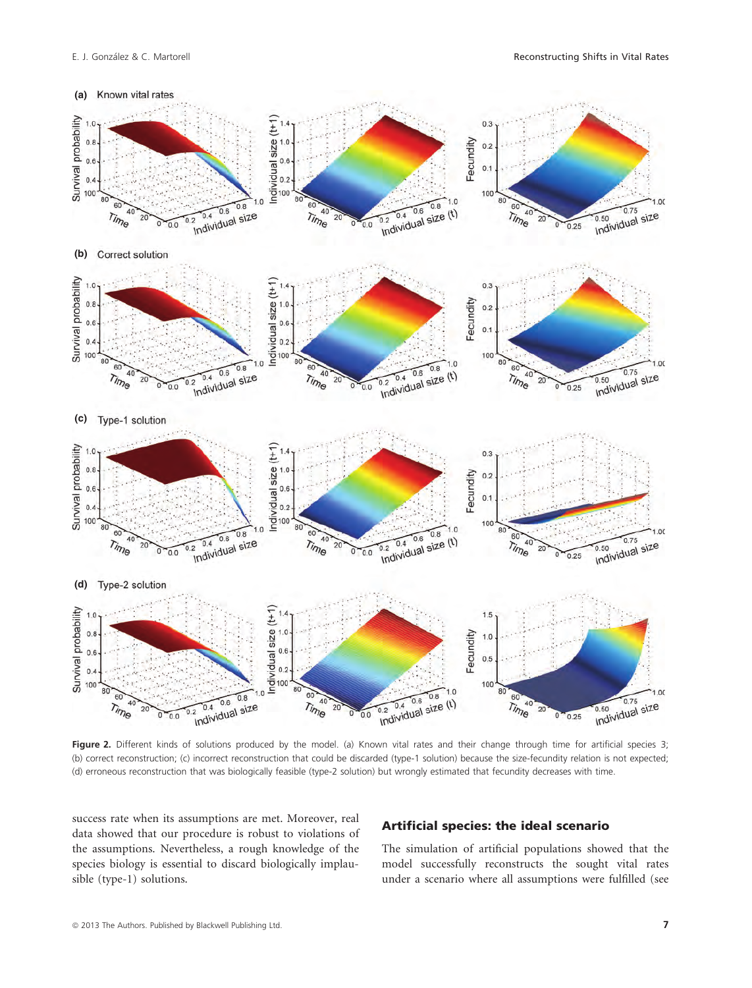

Figure 2. Different kinds of solutions produced by the model. (a) Known vital rates and their change through time for artificial species 3; (b) correct reconstruction; (c) incorrect reconstruction that could be discarded (type-1 solution) because the size-fecundity relation is not expected; (d) erroneous reconstruction that was biologically feasible (type-2 solution) but wrongly estimated that fecundity decreases with time.

success rate when its assumptions are met. Moreover, real data showed that our procedure is robust to violations of the assumptions. Nevertheless, a rough knowledge of the species biology is essential to discard biologically implausible (type-1) solutions.

### Artificial species: the ideal scenario

The simulation of artificial populations showed that the model successfully reconstructs the sought vital rates under a scenario where all assumptions were fulfilled (see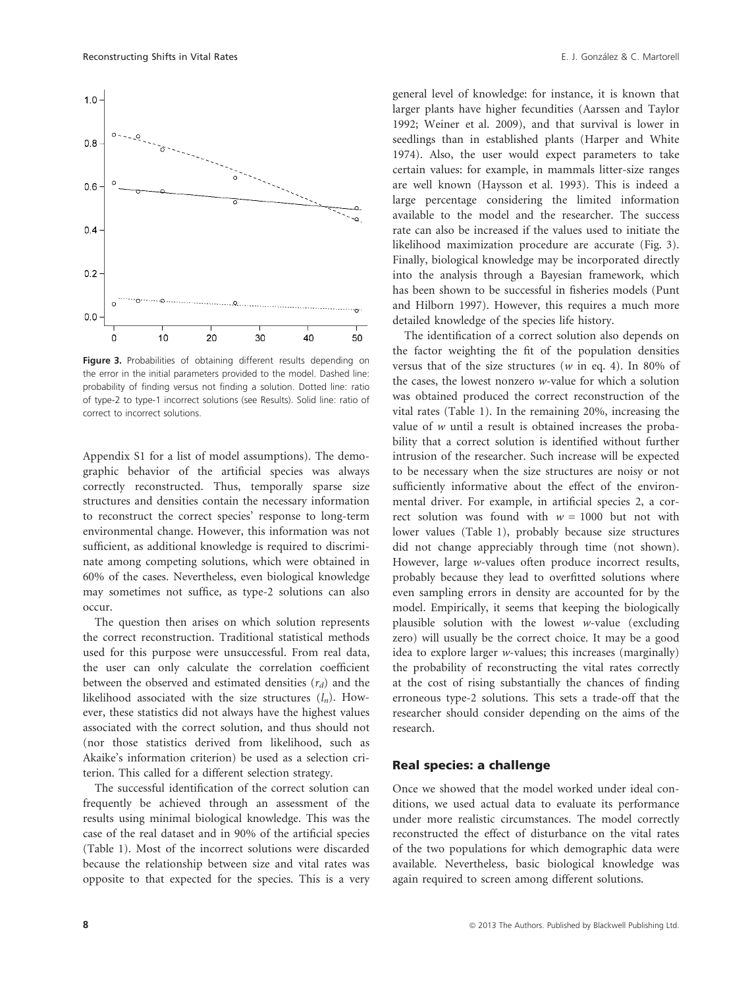

Figure 3. Probabilities of obtaining different results depending on the error in the initial parameters provided to the model. Dashed line: probability of finding versus not finding a solution. Dotted line: ratio of type-2 to type-1 incorrect solutions (see Results). Solid line: ratio of correct to incorrect solutions.

Appendix S1 for a list of model assumptions). The demographic behavior of the artificial species was always correctly reconstructed. Thus, temporally sparse size structures and densities contain the necessary information to reconstruct the correct species' response to long-term environmental change. However, this information was not sufficient, as additional knowledge is required to discriminate among competing solutions, which were obtained in 60% of the cases. Nevertheless, even biological knowledge may sometimes not suffice, as type-2 solutions can also occur.

The question then arises on which solution represents the correct reconstruction. Traditional statistical methods used for this purpose were unsuccessful. From real data, the user can only calculate the correlation coefficient between the observed and estimated densities  $(r_d)$  and the likelihood associated with the size structures  $(l_n)$ . However, these statistics did not always have the highest values associated with the correct solution, and thus should not (nor those statistics derived from likelihood, such as Akaike's information criterion) be used as a selection criterion. This called for a different selection strategy.

The successful identification of the correct solution can frequently be achieved through an assessment of the results using minimal biological knowledge. This was the case of the real dataset and in 90% of the artificial species (Table 1). Most of the incorrect solutions were discarded because the relationship between size and vital rates was opposite to that expected for the species. This is a very

general level of knowledge: for instance, it is known that larger plants have higher fecundities (Aarssen and Taylor 1992; Weiner et al. 2009), and that survival is lower in seedlings than in established plants (Harper and White 1974). Also, the user would expect parameters to take certain values: for example, in mammals litter-size ranges are well known (Haysson et al. 1993). This is indeed a large percentage considering the limited information available to the model and the researcher. The success rate can also be increased if the values used to initiate the likelihood maximization procedure are accurate (Fig. 3). Finally, biological knowledge may be incorporated directly into the analysis through a Bayesian framework, which has been shown to be successful in fisheries models (Punt and Hilborn 1997). However, this requires a much more detailed knowledge of the species life history.

The identification of a correct solution also depends on the factor weighting the fit of the population densities versus that of the size structures ( $w$  in eq. 4). In 80% of the cases, the lowest nonzero w-value for which a solution was obtained produced the correct reconstruction of the vital rates (Table 1). In the remaining 20%, increasing the value of  $w$  until a result is obtained increases the probability that a correct solution is identified without further intrusion of the researcher. Such increase will be expected to be necessary when the size structures are noisy or not sufficiently informative about the effect of the environmental driver. For example, in artificial species 2, a correct solution was found with  $w = 1000$  but not with lower values (Table 1), probably because size structures did not change appreciably through time (not shown). However, large w-values often produce incorrect results, probably because they lead to overfitted solutions where even sampling errors in density are accounted for by the model. Empirically, it seems that keeping the biologically plausible solution with the lowest w-value (excluding zero) will usually be the correct choice. It may be a good idea to explore larger w-values; this increases (marginally) the probability of reconstructing the vital rates correctly at the cost of rising substantially the chances of finding erroneous type-2 solutions. This sets a trade-off that the researcher should consider depending on the aims of the research.

### Real species: a challenge

Once we showed that the model worked under ideal conditions, we used actual data to evaluate its performance under more realistic circumstances. The model correctly reconstructed the effect of disturbance on the vital rates of the two populations for which demographic data were available. Nevertheless, basic biological knowledge was again required to screen among different solutions.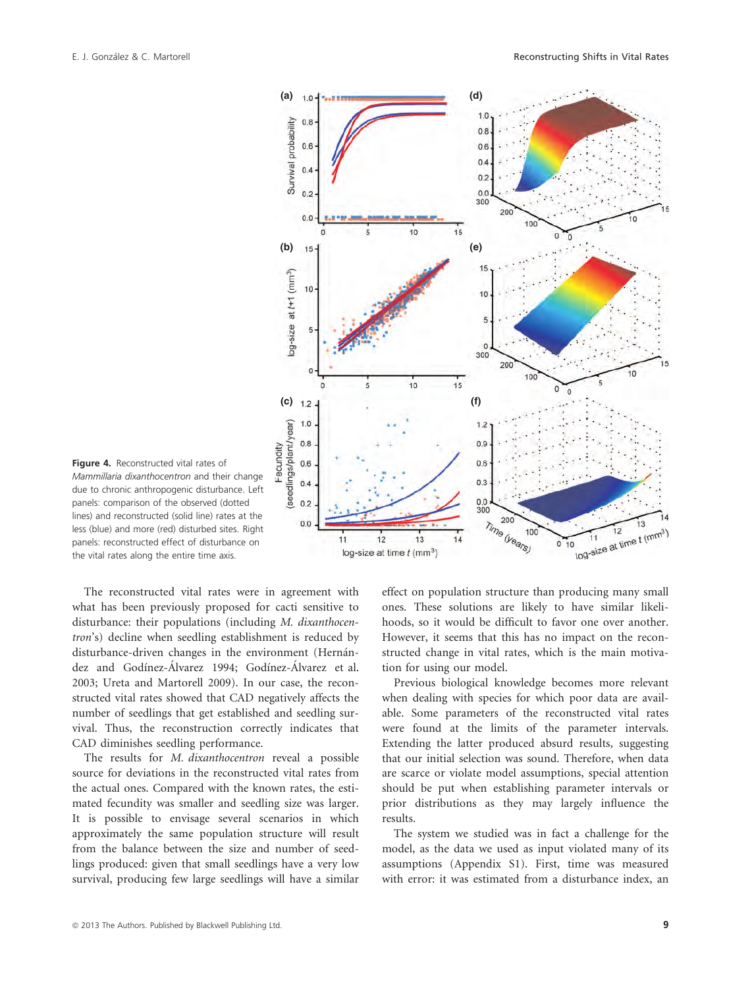

Figure 4. Reconstructed vital rates of Mammillaria dixanthocentron and their change due to chronic anthropogenic disturbance. Left panels: comparison of the observed (dotted lines) and reconstructed (solid line) rates at the less (blue) and more (red) disturbed sites. Right panels: reconstructed effect of disturbance on the vital rates along the entire time axis.

The reconstructed vital rates were in agreement with what has been previously proposed for cacti sensitive to disturbance: their populations (including M. dixanthocentron's) decline when seedling establishment is reduced by disturbance-driven changes in the environment (Hernández and Godínez-Álvarez 1994; Godínez-Álvarez et al. 2003; Ureta and Martorell 2009). In our case, the reconstructed vital rates showed that CAD negatively affects the number of seedlings that get established and seedling survival. Thus, the reconstruction correctly indicates that CAD diminishes seedling performance.

The results for M. dixanthocentron reveal a possible source for deviations in the reconstructed vital rates from the actual ones. Compared with the known rates, the estimated fecundity was smaller and seedling size was larger. It is possible to envisage several scenarios in which approximately the same population structure will result from the balance between the size and number of seedlings produced: given that small seedlings have a very low survival, producing few large seedlings will have a similar effect on population structure than producing many small ones. These solutions are likely to have similar likelihoods, so it would be difficult to favor one over another. However, it seems that this has no impact on the reconstructed change in vital rates, which is the main motivation for using our model.

Previous biological knowledge becomes more relevant when dealing with species for which poor data are available. Some parameters of the reconstructed vital rates were found at the limits of the parameter intervals. Extending the latter produced absurd results, suggesting that our initial selection was sound. Therefore, when data are scarce or violate model assumptions, special attention should be put when establishing parameter intervals or prior distributions as they may largely influence the results.

The system we studied was in fact a challenge for the model, as the data we used as input violated many of its assumptions (Appendix S1). First, time was measured with error: it was estimated from a disturbance index, an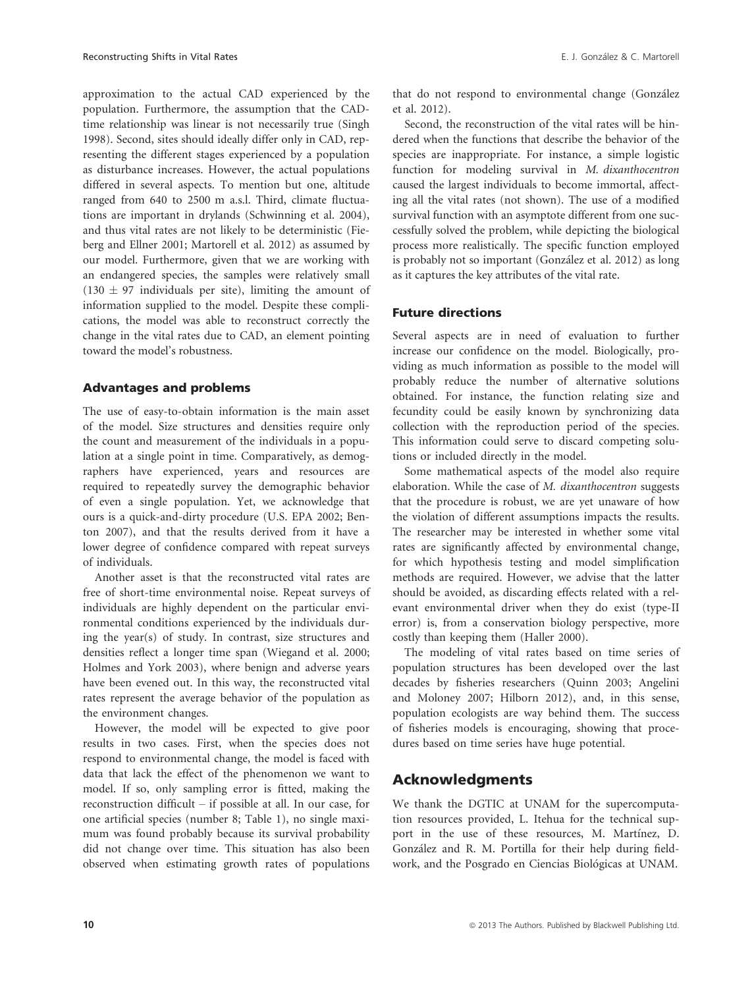approximation to the actual CAD experienced by the population. Furthermore, the assumption that the CADtime relationship was linear is not necessarily true (Singh 1998). Second, sites should ideally differ only in CAD, representing the different stages experienced by a population as disturbance increases. However, the actual populations differed in several aspects. To mention but one, altitude ranged from 640 to 2500 m a.s.l. Third, climate fluctuations are important in drylands (Schwinning et al. 2004), and thus vital rates are not likely to be deterministic (Fieberg and Ellner 2001; Martorell et al. 2012) as assumed by our model. Furthermore, given that we are working with an endangered species, the samples were relatively small  $(130 \pm 97)$  individuals per site), limiting the amount of information supplied to the model. Despite these complications, the model was able to reconstruct correctly the change in the vital rates due to CAD, an element pointing toward the model's robustness.

### Advantages and problems

The use of easy-to-obtain information is the main asset of the model. Size structures and densities require only the count and measurement of the individuals in a population at a single point in time. Comparatively, as demographers have experienced, years and resources are required to repeatedly survey the demographic behavior of even a single population. Yet, we acknowledge that ours is a quick-and-dirty procedure (U.S. EPA 2002; Benton 2007), and that the results derived from it have a lower degree of confidence compared with repeat surveys of individuals.

Another asset is that the reconstructed vital rates are free of short-time environmental noise. Repeat surveys of individuals are highly dependent on the particular environmental conditions experienced by the individuals during the year(s) of study. In contrast, size structures and densities reflect a longer time span (Wiegand et al. 2000; Holmes and York 2003), where benign and adverse years have been evened out. In this way, the reconstructed vital rates represent the average behavior of the population as the environment changes.

However, the model will be expected to give poor results in two cases. First, when the species does not respond to environmental change, the model is faced with data that lack the effect of the phenomenon we want to model. If so, only sampling error is fitted, making the reconstruction difficult – if possible at all. In our case, for one artificial species (number 8; Table 1), no single maximum was found probably because its survival probability did not change over time. This situation has also been observed when estimating growth rates of populations that do not respond to environmental change (Gonzalez et al. 2012).

Second, the reconstruction of the vital rates will be hindered when the functions that describe the behavior of the species are inappropriate. For instance, a simple logistic function for modeling survival in M. dixanthocentron caused the largest individuals to become immortal, affecting all the vital rates (not shown). The use of a modified survival function with an asymptote different from one successfully solved the problem, while depicting the biological process more realistically. The specific function employed is probably not so important (Gonzalez et al. 2012) as long as it captures the key attributes of the vital rate.

#### Future directions

Several aspects are in need of evaluation to further increase our confidence on the model. Biologically, providing as much information as possible to the model will probably reduce the number of alternative solutions obtained. For instance, the function relating size and fecundity could be easily known by synchronizing data collection with the reproduction period of the species. This information could serve to discard competing solutions or included directly in the model.

Some mathematical aspects of the model also require elaboration. While the case of M. dixanthocentron suggests that the procedure is robust, we are yet unaware of how the violation of different assumptions impacts the results. The researcher may be interested in whether some vital rates are significantly affected by environmental change, for which hypothesis testing and model simplification methods are required. However, we advise that the latter should be avoided, as discarding effects related with a relevant environmental driver when they do exist (type-II error) is, from a conservation biology perspective, more costly than keeping them (Haller 2000).

The modeling of vital rates based on time series of population structures has been developed over the last decades by fisheries researchers (Quinn 2003; Angelini and Moloney 2007; Hilborn 2012), and, in this sense, population ecologists are way behind them. The success of fisheries models is encouraging, showing that procedures based on time series have huge potential.

### Acknowledgments

We thank the DGTIC at UNAM for the supercomputation resources provided, L. Itehua for the technical support in the use of these resources, M. Martínez, D. Gonzalez and R. M. Portilla for their help during fieldwork, and the Posgrado en Ciencias Biologicas at UNAM.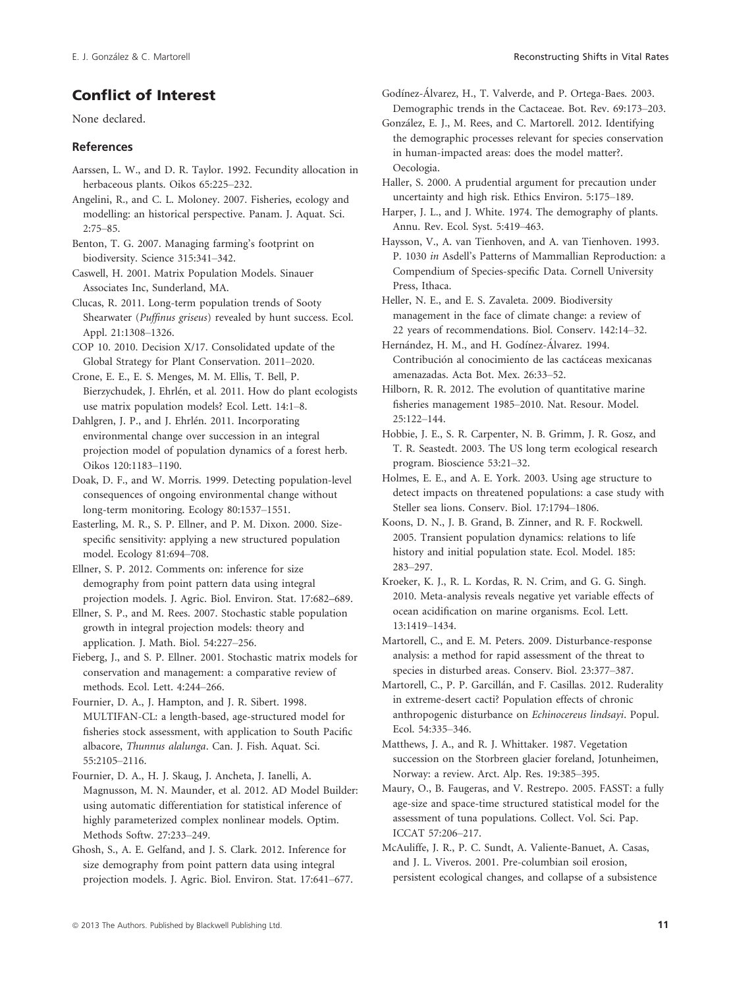# Conflict of Interest

None declared.

#### References

- Aarssen, L. W., and D. R. Taylor. 1992. Fecundity allocation in herbaceous plants. Oikos 65:225–232.
- Angelini, R., and C. L. Moloney. 2007. Fisheries, ecology and modelling: an historical perspective. Panam. J. Aquat. Sci. 2:75–85.
- Benton, T. G. 2007. Managing farming's footprint on biodiversity. Science 315:341–342.
- Caswell, H. 2001. Matrix Population Models. Sinauer Associates Inc, Sunderland, MA.
- Clucas, R. 2011. Long-term population trends of Sooty Shearwater (Puffinus griseus) revealed by hunt success. Ecol. Appl. 21:1308–1326.
- COP 10. 2010. Decision X/17. Consolidated update of the Global Strategy for Plant Conservation. 2011–2020.
- Crone, E. E., E. S. Menges, M. M. Ellis, T. Bell, P. Bierzychudek, J. Ehrlén, et al. 2011. How do plant ecologists use matrix population models? Ecol. Lett. 14:1–8.
- Dahlgren, J. P., and J. Ehrlén. 2011. Incorporating environmental change over succession in an integral projection model of population dynamics of a forest herb. Oikos 120:1183–1190.
- Doak, D. F., and W. Morris. 1999. Detecting population-level consequences of ongoing environmental change without long-term monitoring. Ecology 80:1537–1551.
- Easterling, M. R., S. P. Ellner, and P. M. Dixon. 2000. Sizespecific sensitivity: applying a new structured population model. Ecology 81:694–708.
- Ellner, S. P. 2012. Comments on: inference for size demography from point pattern data using integral projection models. J. Agric. Biol. Environ. Stat. 17:682–689.
- Ellner, S. P., and M. Rees. 2007. Stochastic stable population growth in integral projection models: theory and application. J. Math. Biol. 54:227–256.
- Fieberg, J., and S. P. Ellner. 2001. Stochastic matrix models for conservation and management: a comparative review of methods. Ecol. Lett. 4:244–266.
- Fournier, D. A., J. Hampton, and J. R. Sibert. 1998. MULTIFAN-CL: a length-based, age-structured model for fisheries stock assessment, with application to South Pacific albacore, Thunnus alalunga. Can. J. Fish. Aquat. Sci. 55:2105–2116.
- Fournier, D. A., H. J. Skaug, J. Ancheta, J. Ianelli, A. Magnusson, M. N. Maunder, et al. 2012. AD Model Builder: using automatic differentiation for statistical inference of highly parameterized complex nonlinear models. Optim. Methods Softw. 27:233–249.
- Ghosh, S., A. E. Gelfand, and J. S. Clark. 2012. Inference for size demography from point pattern data using integral projection models. J. Agric. Biol. Environ. Stat. 17:641–677.

Godínez-Álvarez, H., T. Valverde, and P. Ortega-Baes. 2003. Demographic trends in the Cactaceae. Bot. Rev. 69:173–203.

- Gonzalez, E. J., M. Rees, and C. Martorell. 2012. Identifying the demographic processes relevant for species conservation in human-impacted areas: does the model matter?. Oecologia.
- Haller, S. 2000. A prudential argument for precaution under uncertainty and high risk. Ethics Environ. 5:175–189.
- Harper, J. L., and J. White. 1974. The demography of plants. Annu. Rev. Ecol. Syst. 5:419–463.
- Haysson, V., A. van Tienhoven, and A. van Tienhoven. 1993. P. 1030 in Asdell's Patterns of Mammallian Reproduction: a Compendium of Species-specific Data. Cornell University Press, Ithaca.
- Heller, N. E., and E. S. Zavaleta. 2009. Biodiversity management in the face of climate change: a review of 22 years of recommendations. Biol. Conserv. 142:14–32.
- Hernández, H. M., and H. Godínez-Álvarez. 1994. Contribución al conocimiento de las cactáceas mexicanas amenazadas. Acta Bot. Mex. 26:33–52.
- Hilborn, R. R. 2012. The evolution of quantitative marine fisheries management 1985–2010. Nat. Resour. Model. 25:122–144.
- Hobbie, J. E., S. R. Carpenter, N. B. Grimm, J. R. Gosz, and T. R. Seastedt. 2003. The US long term ecological research program. Bioscience 53:21–32.
- Holmes, E. E., and A. E. York. 2003. Using age structure to detect impacts on threatened populations: a case study with Steller sea lions. Conserv. Biol. 17:1794–1806.
- Koons, D. N., J. B. Grand, B. Zinner, and R. F. Rockwell. 2005. Transient population dynamics: relations to life history and initial population state. Ecol. Model. 185: 283–297.
- Kroeker, K. J., R. L. Kordas, R. N. Crim, and G. G. Singh. 2010. Meta-analysis reveals negative yet variable effects of ocean acidification on marine organisms. Ecol. Lett. 13:1419–1434.
- Martorell, C., and E. M. Peters. 2009. Disturbance-response analysis: a method for rapid assessment of the threat to species in disturbed areas. Conserv. Biol. 23:377–387.
- Martorell, C., P. P. Garcillán, and F. Casillas. 2012. Ruderality in extreme-desert cacti? Population effects of chronic anthropogenic disturbance on Echinocereus lindsayi. Popul. Ecol. 54:335–346.
- Matthews, J. A., and R. J. Whittaker. 1987. Vegetation succession on the Storbreen glacier foreland, Jotunheimen, Norway: a review. Arct. Alp. Res. 19:385–395.
- Maury, O., B. Faugeras, and V. Restrepo. 2005. FASST: a fully age-size and space-time structured statistical model for the assessment of tuna populations. Collect. Vol. Sci. Pap. ICCAT 57:206–217.
- McAuliffe, J. R., P. C. Sundt, A. Valiente-Banuet, A. Casas, and J. L. Viveros. 2001. Pre-columbian soil erosion, persistent ecological changes, and collapse of a subsistence